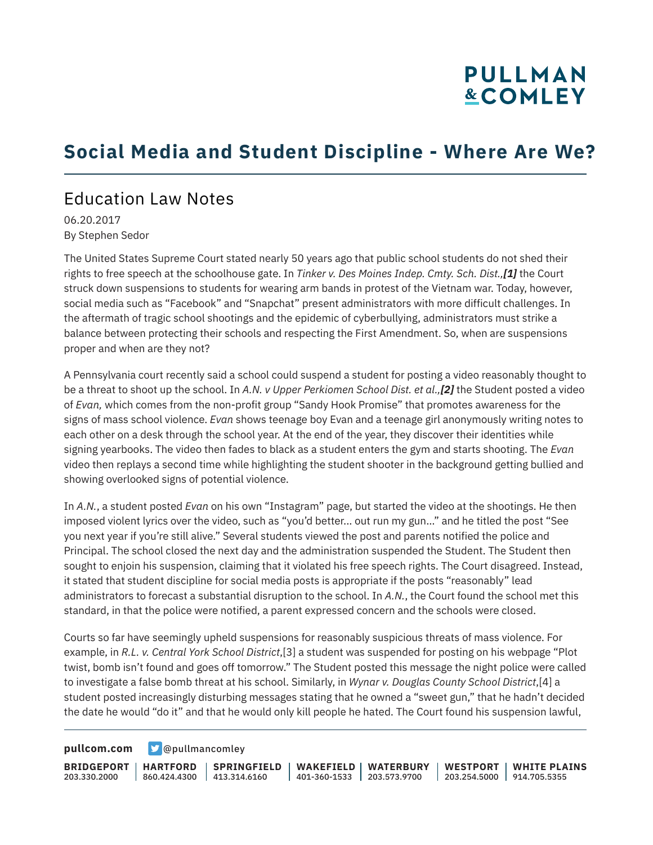# **PULLMAN &COMLEY**

## **Social Media and Student Discipline - Where Are We?**

### Education Law Notes

06.20.2017 By Stephen Sedor

The United States Supreme Court stated nearly 50 years ago that public school students do not shed their rights to free speech at the schoolhouse gate. In *Tinker v. Des Moines Indep. Cmty. Sch. Dist.,[1]* the Court struck down suspensions to students for wearing arm bands in protest of the Vietnam war. Today, however, social media such as "Facebook" and "Snapchat" present administrators with more difficult challenges. In the aftermath of tragic school shootings and the epidemic of cyberbullying, administrators must strike a balance between protecting their schools and respecting the First Amendment. So, when are suspensions proper and when are they not?

A Pennsylvania court recently said a school could suspend a student for posting a video reasonably thought to be a threat to shoot up the school. In *A.N. v Upper Perkiomen School Dist. et al.,[2]* the Student posted a video of *Evan,* which comes from the non-profit group "Sandy Hook Promise" that promotes awareness for the signs of mass school violence. *Evan* shows teenage boy Evan and a teenage girl anonymously writing notes to each other on a desk through the school year. At the end of the year, they discover their identities while signing yearbooks. The video then fades to black as a student enters the gym and starts shooting. The *Evan* video then replays a second time while highlighting the student shooter in the background getting bullied and showing overlooked signs of potential violence.

In *A.N.*, a student posted *Evan* on his own "Instagram" page, but started the video at the shootings. He then imposed violent lyrics over the video, such as "you'd better... out run my gun…" and he titled the post "See you next year if you're still alive." Several students viewed the post and parents notified the police and Principal. The school closed the next day and the administration suspended the Student. The Student then sought to enjoin his suspension, claiming that it violated his free speech rights. The Court disagreed. Instead, it stated that student discipline for social media posts is appropriate if the posts "reasonably" lead administrators to forecast a substantial disruption to the school. In *A.N.*, the Court found the school met this standard, in that the police were notified, a parent expressed concern and the schools were closed.

Courts so far have seemingly upheld suspensions for reasonably suspicious threats of mass violence. For example, in *R.L. v. Central York School District*,[3] a student was suspended for posting on his webpage "Plot twist, bomb isn't found and goes off tomorrow." The Student posted this message the night police were called to investigate a false bomb threat at his school. Similarly, in *Wynar v. Douglas County School District*,[4] a student posted increasingly disturbing messages stating that he owned a "sweet gun," that he hadn't decided the date he would "do it" and that he would only kill people he hated. The Court found his suspension lawful,

**[pullcom.com](https://www.pullcom.com) g** [@pullmancomley](https://twitter.com/PullmanComley)

**BRIDGEPORT** 203.330.2000

**HARTFORD**

860.424.4300 413.314.6160 **SPRINGFIELD**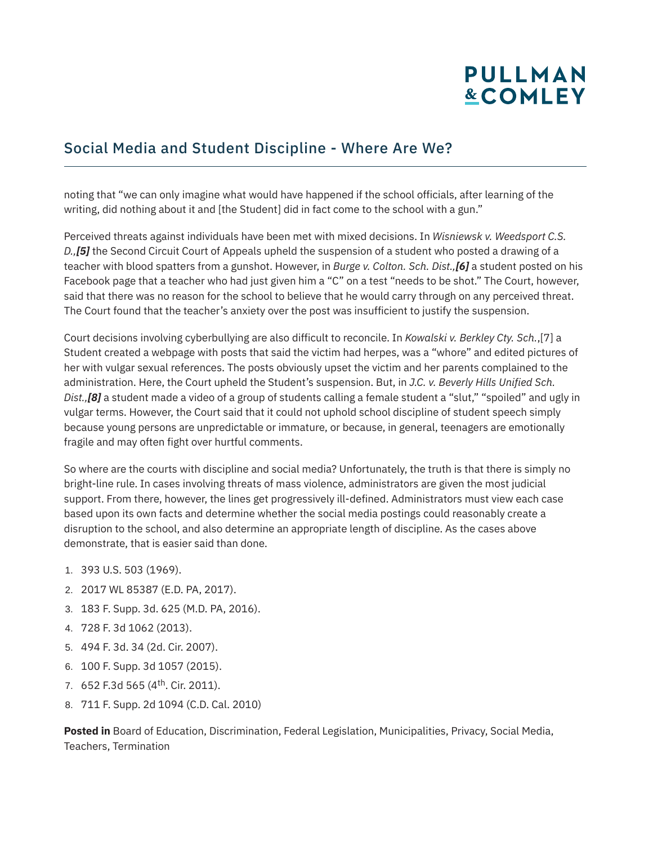# **PULLMAN &COMLEY**

#### Social Media and Student Discipline - Where Are We?

noting that "we can only imagine what would have happened if the school officials, after learning of the writing, did nothing about it and [the Student] did in fact come to the school with a gun."

Perceived threats against individuals have been met with mixed decisions. In *Wisniewsk v. Weedsport C.S. D.,[5]* the Second Circuit Court of Appeals upheld the suspension of a student who posted a drawing of a teacher with blood spatters from a gunshot. However, in *Burge v. Colton. Sch. Dist.,[6]* a student posted on his Facebook page that a teacher who had just given him a "C" on a test "needs to be shot." The Court, however, said that there was no reason for the school to believe that he would carry through on any perceived threat. The Court found that the teacher's anxiety over the post was insufficient to justify the suspension.

Court decisions involving cyberbullying are also difficult to reconcile. In *Kowalski v. Berkley Cty. Sch.*,[7] a Student created a webpage with posts that said the victim had herpes, was a "whore" and edited pictures of her with vulgar sexual references. The posts obviously upset the victim and her parents complained to the administration. Here, the Court upheld the Student's suspension. But, in *J.C. v. Beverly Hills Unified Sch. Dist.,[8]* a student made a video of a group of students calling a female student a "slut," "spoiled" and ugly in vulgar terms. However, the Court said that it could not uphold school discipline of student speech simply because young persons are unpredictable or immature, or because, in general, teenagers are emotionally fragile and may often fight over hurtful comments.

So where are the courts with discipline and social media? Unfortunately, the truth is that there is simply no bright-line rule. In cases involving threats of mass violence, administrators are given the most judicial support. From there, however, the lines get progressively ill-defined. Administrators must view each case based upon its own facts and determine whether the social media postings could reasonably create a disruption to the school, and also determine an appropriate length of discipline. As the cases above demonstrate, that is easier said than done.

- 1. 393 U.S. 503 (1969).
- 2. 2017 WL 85387 (E.D. PA, 2017).
- 3. 183 F. Supp. 3d. 625 (M.D. PA, 2016).
- 4. 728 F. 3d 1062 (2013).
- 5. 494 F. 3d. 34 (2d. Cir. 2007).
- 6. 100 F. Supp. 3d 1057 (2015).
- 7. 652 F.3d 565 (4th. Cir. 2011).
- 8. 711 F. Supp. 2d 1094 (C.D. Cal. 2010)

**Posted in** Board of Education, Discrimination, Federal Legislation, Municipalities, Privacy, Social Media, Teachers, Termination